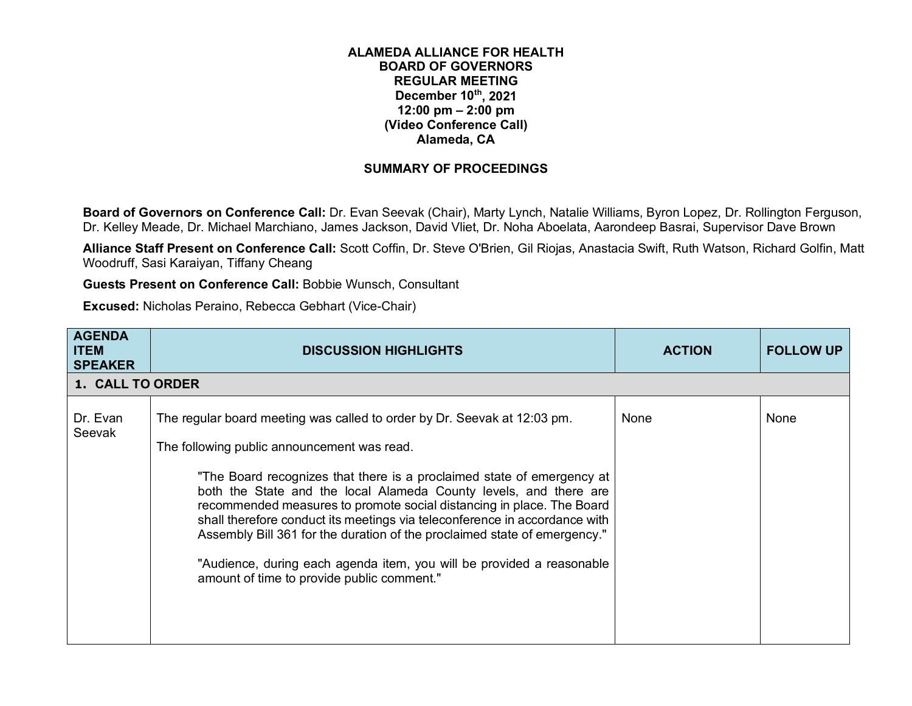## **ALAMEDA ALLIANCE FOR HEALTH BOARD OF GOVERNORS REGULAR MEETING December 10th, 2021 12:00 pm – 2:00 pm (Video Conference Call) Alameda, CA**

## **SUMMARY OF PROCEEDINGS**

**Board of Governors on Conference Call:** Dr. Evan Seevak (Chair), Marty Lynch, Natalie Williams, Byron Lopez, Dr. Rollington Ferguson, Dr. Kelley Meade, Dr. Michael Marchiano, James Jackson, David Vliet, Dr. Noha Aboelata, Aarondeep Basrai, Supervisor Dave Brown

**Alliance Staff Present on Conference Call:** Scott Coffin, Dr. Steve O'Brien, Gil Riojas, Anastacia Swift, Ruth Watson, Richard Golfin, Matt Woodruff, Sasi Karaiyan, Tiffany Cheang

**Guests Present on Conference Call:** Bobbie Wunsch, Consultant

**Excused:** Nicholas Peraino, Rebecca Gebhart (Vice-Chair)

| <b>AGENDA</b><br><b>ITEM</b><br><b>SPEAKER</b> | <b>DISCUSSION HIGHLIGHTS</b>                                                                                                                                                                                                                                                                                                                                                                                                                                                                                                                                                                                                      | <b>ACTION</b> | <b>FOLLOW UP</b> |
|------------------------------------------------|-----------------------------------------------------------------------------------------------------------------------------------------------------------------------------------------------------------------------------------------------------------------------------------------------------------------------------------------------------------------------------------------------------------------------------------------------------------------------------------------------------------------------------------------------------------------------------------------------------------------------------------|---------------|------------------|
| 1. CALL TO ORDER                               |                                                                                                                                                                                                                                                                                                                                                                                                                                                                                                                                                                                                                                   |               |                  |
| Dr. Evan<br>Seevak                             | The regular board meeting was called to order by Dr. Seevak at 12:03 pm.<br>The following public announcement was read.<br>"The Board recognizes that there is a proclaimed state of emergency at<br>both the State and the local Alameda County levels, and there are<br>recommended measures to promote social distancing in place. The Board<br>shall therefore conduct its meetings via teleconference in accordance with<br>Assembly Bill 361 for the duration of the proclaimed state of emergency."<br>"Audience, during each agenda item, you will be provided a reasonable<br>amount of time to provide public comment." | None          | None             |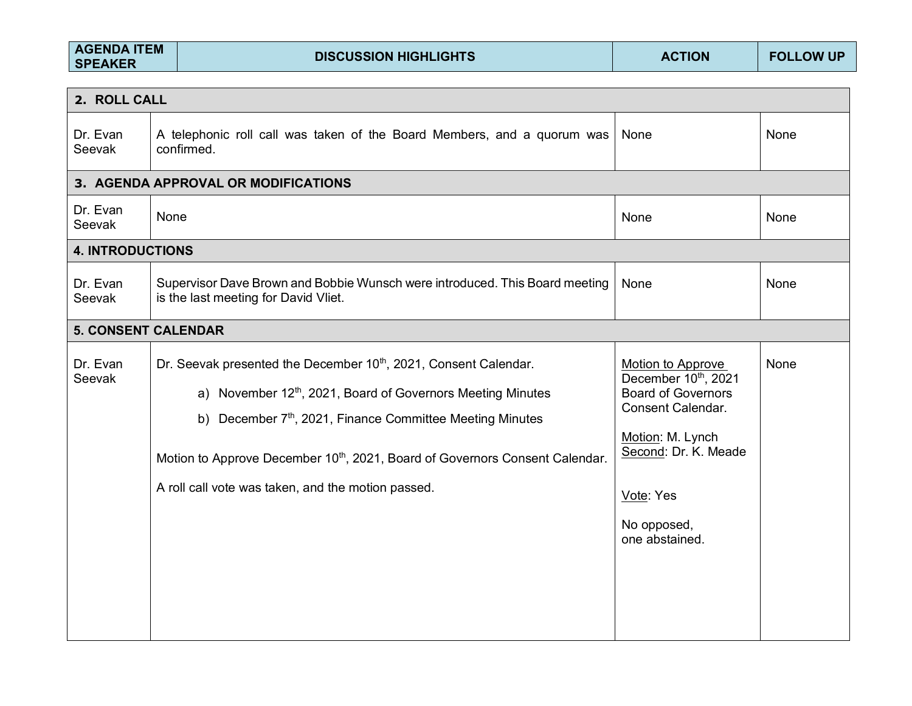| <b>AGENDA ITEM</b><br><b>SPEAKER</b> |      | <b>DISCUSSION HIGHLIGHTS</b>                                                                                                                                                                                                                                                                                                                                          | <b>ACTION</b>                                                                                                                                                                               | <b>FOLLOW UP</b> |
|--------------------------------------|------|-----------------------------------------------------------------------------------------------------------------------------------------------------------------------------------------------------------------------------------------------------------------------------------------------------------------------------------------------------------------------|---------------------------------------------------------------------------------------------------------------------------------------------------------------------------------------------|------------------|
| 2. ROLL CALL                         |      |                                                                                                                                                                                                                                                                                                                                                                       |                                                                                                                                                                                             |                  |
| Dr. Evan<br>Seevak                   |      | A telephonic roll call was taken of the Board Members, and a quorum was<br>confirmed.                                                                                                                                                                                                                                                                                 | None                                                                                                                                                                                        | None             |
|                                      |      | 3. AGENDA APPROVAL OR MODIFICATIONS                                                                                                                                                                                                                                                                                                                                   |                                                                                                                                                                                             |                  |
| Dr. Evan<br>Seevak                   | None |                                                                                                                                                                                                                                                                                                                                                                       | None                                                                                                                                                                                        | None             |
| <b>4. INTRODUCTIONS</b>              |      |                                                                                                                                                                                                                                                                                                                                                                       |                                                                                                                                                                                             |                  |
| Dr. Evan<br>Seevak                   |      | Supervisor Dave Brown and Bobbie Wunsch were introduced. This Board meeting<br>is the last meeting for David Vliet.                                                                                                                                                                                                                                                   | None                                                                                                                                                                                        | None             |
| <b>5. CONSENT CALENDAR</b>           |      |                                                                                                                                                                                                                                                                                                                                                                       |                                                                                                                                                                                             |                  |
| Dr. Evan<br>Seevak                   |      | Dr. Seevak presented the December 10 <sup>th</sup> , 2021, Consent Calendar.<br>a) November 12 <sup>th</sup> , 2021, Board of Governors Meeting Minutes<br>b) December 7th, 2021, Finance Committee Meeting Minutes<br>Motion to Approve December 10 <sup>th</sup> , 2021, Board of Governors Consent Calendar.<br>A roll call vote was taken, and the motion passed. | Motion to Approve<br>December 10th, 2021<br><b>Board of Governors</b><br><b>Consent Calendar.</b><br>Motion: M. Lynch<br>Second: Dr. K. Meade<br>Vote: Yes<br>No opposed,<br>one abstained. | None             |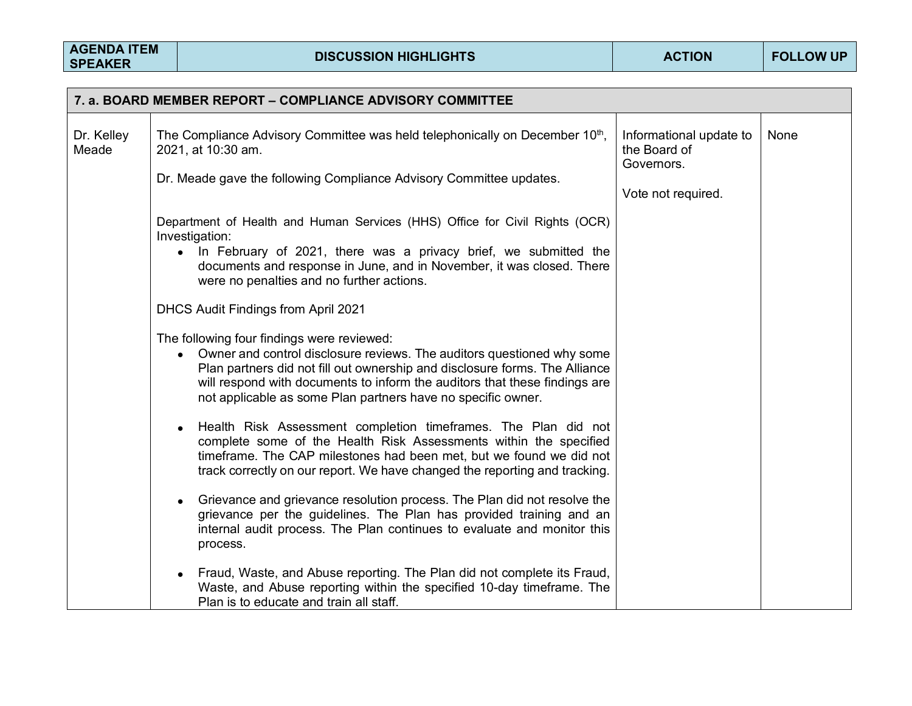| 7. a. BOARD MEMBER REPORT - COMPLIANCE ADVISORY COMMITTEE |                                                                                                                                                                                                                                                                                                                                                   |                                                       |      |  |  |
|-----------------------------------------------------------|---------------------------------------------------------------------------------------------------------------------------------------------------------------------------------------------------------------------------------------------------------------------------------------------------------------------------------------------------|-------------------------------------------------------|------|--|--|
| Dr. Kelley<br>Meade                                       | The Compliance Advisory Committee was held telephonically on December 10 <sup>th</sup> ,<br>2021, at 10:30 am.<br>Dr. Meade gave the following Compliance Advisory Committee updates.                                                                                                                                                             | Informational update to<br>the Board of<br>Governors. | None |  |  |
|                                                           |                                                                                                                                                                                                                                                                                                                                                   | Vote not required.                                    |      |  |  |
|                                                           | Department of Health and Human Services (HHS) Office for Civil Rights (OCR)<br>Investigation:<br>• In February of 2021, there was a privacy brief, we submitted the<br>documents and response in June, and in November, it was closed. There<br>were no penalties and no further actions.                                                         |                                                       |      |  |  |
|                                                           | DHCS Audit Findings from April 2021                                                                                                                                                                                                                                                                                                               |                                                       |      |  |  |
|                                                           | The following four findings were reviewed:<br>Owner and control disclosure reviews. The auditors questioned why some<br>Plan partners did not fill out ownership and disclosure forms. The Alliance<br>will respond with documents to inform the auditors that these findings are<br>not applicable as some Plan partners have no specific owner. |                                                       |      |  |  |
|                                                           | Health Risk Assessment completion timeframes. The Plan did not<br>$\bullet$<br>complete some of the Health Risk Assessments within the specified<br>timeframe. The CAP milestones had been met, but we found we did not<br>track correctly on our report. We have changed the reporting and tracking.                                             |                                                       |      |  |  |
|                                                           | Grievance and grievance resolution process. The Plan did not resolve the<br>grievance per the guidelines. The Plan has provided training and an<br>internal audit process. The Plan continues to evaluate and monitor this<br>process.                                                                                                            |                                                       |      |  |  |
|                                                           | Fraud, Waste, and Abuse reporting. The Plan did not complete its Fraud,<br>Waste, and Abuse reporting within the specified 10-day timeframe. The<br>Plan is to educate and train all staff.                                                                                                                                                       |                                                       |      |  |  |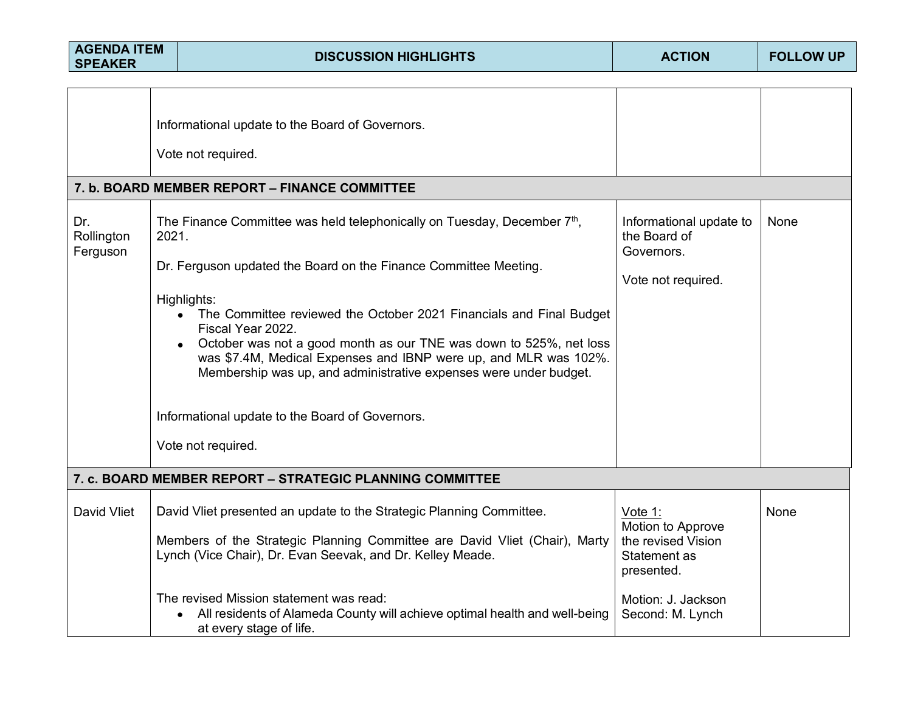| <b>AGENDA ITEM</b><br><b>SPEAKER</b> |       | <b>DISCUSSION HIGHLIGHTS</b>                                                                                                                                                                                                                                                                                                                                                                                                                                                                                                                                                                                                                                                                       | <b>ACTION</b>                                                                                                              | <b>FOLLOW UP</b> |
|--------------------------------------|-------|----------------------------------------------------------------------------------------------------------------------------------------------------------------------------------------------------------------------------------------------------------------------------------------------------------------------------------------------------------------------------------------------------------------------------------------------------------------------------------------------------------------------------------------------------------------------------------------------------------------------------------------------------------------------------------------------------|----------------------------------------------------------------------------------------------------------------------------|------------------|
| Dr.<br>Rollington<br>Ferguson        | 2021. | Informational update to the Board of Governors.<br>Vote not required.<br>7. b. BOARD MEMBER REPORT - FINANCE COMMITTEE<br>The Finance Committee was held telephonically on Tuesday, December 7 <sup>th</sup> ,<br>Dr. Ferguson updated the Board on the Finance Committee Meeting.<br>Highlights:<br>The Committee reviewed the October 2021 Financials and Final Budget<br>$\bullet$<br>Fiscal Year 2022.<br>October was not a good month as our TNE was down to 525%, net loss<br>was \$7.4M, Medical Expenses and IBNP were up, and MLR was 102%.<br>Membership was up, and administrative expenses were under budget.<br>Informational update to the Board of Governors.<br>Vote not required. | Informational update to<br>the Board of<br>Governors.<br>Vote not required.                                                | None             |
|                                      |       | 7. c. BOARD MEMBER REPORT - STRATEGIC PLANNING COMMITTEE                                                                                                                                                                                                                                                                                                                                                                                                                                                                                                                                                                                                                                           |                                                                                                                            |                  |
| David Vliet                          |       | David Vliet presented an update to the Strategic Planning Committee.<br>Members of the Strategic Planning Committee are David Vliet (Chair), Marty<br>Lynch (Vice Chair), Dr. Evan Seevak, and Dr. Kelley Meade.<br>The revised Mission statement was read:<br>All residents of Alameda County will achieve optimal health and well-being<br>$\bullet$<br>at every stage of life.                                                                                                                                                                                                                                                                                                                  | Vote 1:<br>Motion to Approve<br>the revised Vision<br>Statement as<br>presented.<br>Motion: J. Jackson<br>Second: M. Lynch | None             |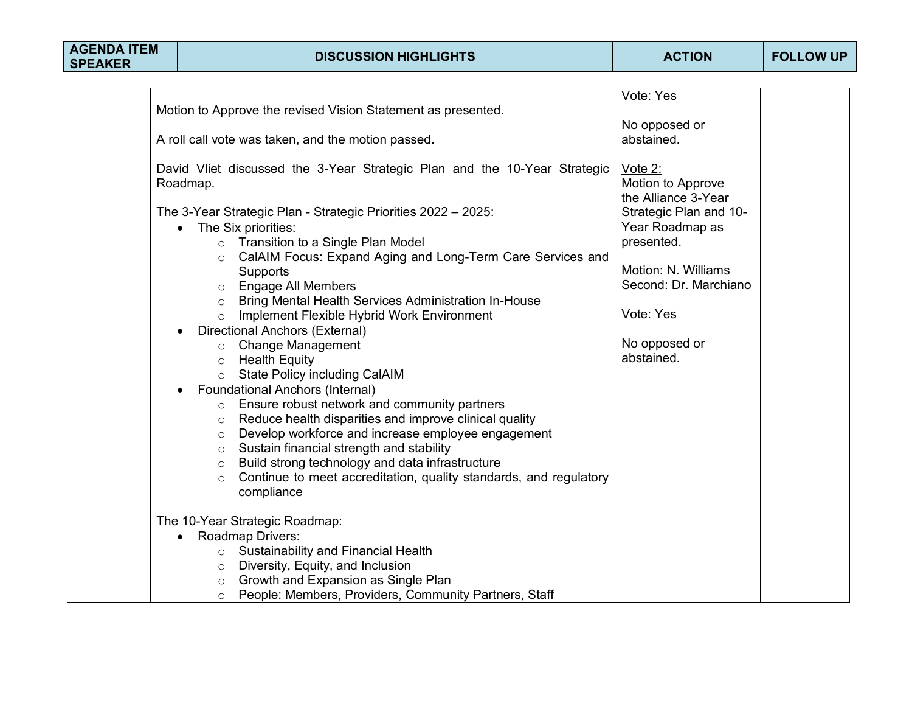| <b>AGENDA ITEM</b><br><b>SPEAKER</b> | <b>DISCUSSION HIGHLIGHTS</b>                                                                                                                                                                                                                                                                                                                                                                                                                                                                                                                                                                                                                                                             | <b>ACTION</b>                                                                                                                                | <b>FOLLOW UP</b> |
|--------------------------------------|------------------------------------------------------------------------------------------------------------------------------------------------------------------------------------------------------------------------------------------------------------------------------------------------------------------------------------------------------------------------------------------------------------------------------------------------------------------------------------------------------------------------------------------------------------------------------------------------------------------------------------------------------------------------------------------|----------------------------------------------------------------------------------------------------------------------------------------------|------------------|
|                                      | Motion to Approve the revised Vision Statement as presented.<br>A roll call vote was taken, and the motion passed.<br>David Vliet discussed the 3-Year Strategic Plan and the 10-Year Strategic<br>Roadmap.<br>The 3-Year Strategic Plan - Strategic Priorities 2022 - 2025:<br>The Six priorities:                                                                                                                                                                                                                                                                                                                                                                                      | Vote: Yes<br>No opposed or<br>abstained.<br>Vote 2:<br>Motion to Approve<br>the Alliance 3-Year<br>Strategic Plan and 10-<br>Year Roadmap as |                  |
|                                      | o Transition to a Single Plan Model<br>o CalAIM Focus: Expand Aging and Long-Term Care Services and<br>Supports<br>o Engage All Members<br>o Bring Mental Health Services Administration In-House<br>Implement Flexible Hybrid Work Environment<br>$\Omega$<br>Directional Anchors (External)<br>o Change Management<br><b>Health Equity</b><br>$\circ$<br><b>State Policy including CalAIM</b><br>$\circ$<br><b>Foundational Anchors (Internal)</b>                                                                                                                                                                                                                                     | presented.<br>Motion: N. Williams<br>Second: Dr. Marchiano<br>Vote: Yes<br>No opposed or<br>abstained.                                       |                  |
|                                      | o Ensure robust network and community partners<br>Reduce health disparities and improve clinical quality<br>$\circ$<br>Develop workforce and increase employee engagement<br>$\circ$<br>Sustain financial strength and stability<br>$\circ$<br>Build strong technology and data infrastructure<br>$\circ$<br>Continue to meet accreditation, quality standards, and regulatory<br>$\circ$<br>compliance<br>The 10-Year Strategic Roadmap:<br>Roadmap Drivers:<br>$\bullet$<br>o Sustainability and Financial Health<br>Diversity, Equity, and Inclusion<br>$\circ$<br>Growth and Expansion as Single Plan<br>$\circ$<br>People: Members, Providers, Community Partners, Staff<br>$\circ$ |                                                                                                                                              |                  |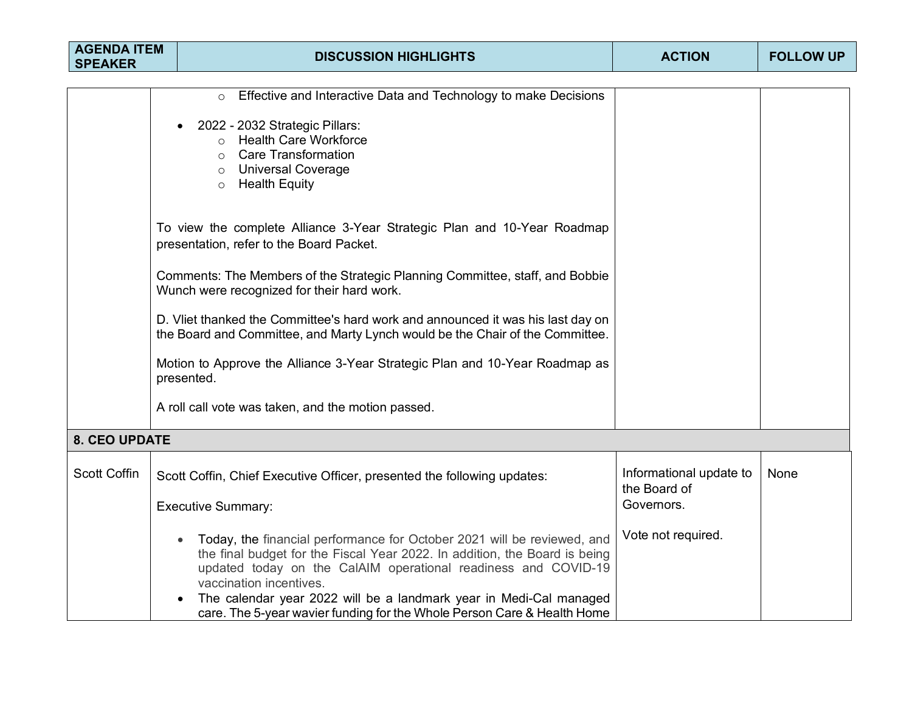| <b>AGENDA ITEM</b><br><b>SPEAKER</b> |                                                                                                                                                                  | <b>DISCUSSION HIGHLIGHTS</b>                                                                                                                                                                                                                       | <b>ACTION</b>                           | <b>FOLLOW UP</b> |
|--------------------------------------|------------------------------------------------------------------------------------------------------------------------------------------------------------------|----------------------------------------------------------------------------------------------------------------------------------------------------------------------------------------------------------------------------------------------------|-----------------------------------------|------------------|
|                                      |                                                                                                                                                                  |                                                                                                                                                                                                                                                    |                                         |                  |
|                                      |                                                                                                                                                                  | Effective and Interactive Data and Technology to make Decisions<br>$\circ$                                                                                                                                                                         |                                         |                  |
|                                      |                                                                                                                                                                  | 2022 - 2032 Strategic Pillars:<br>o Health Care Workforce<br>$\circ$ Care Transformation                                                                                                                                                           |                                         |                  |
|                                      |                                                                                                                                                                  | <b>Universal Coverage</b><br>$\circ$<br><b>Health Equity</b><br>$\circ$                                                                                                                                                                            |                                         |                  |
|                                      |                                                                                                                                                                  | To view the complete Alliance 3-Year Strategic Plan and 10-Year Roadmap<br>presentation, refer to the Board Packet.                                                                                                                                |                                         |                  |
|                                      | Comments: The Members of the Strategic Planning Committee, staff, and Bobbie<br>Wunch were recognized for their hard work.                                       |                                                                                                                                                                                                                                                    |                                         |                  |
|                                      | D. Vliet thanked the Committee's hard work and announced it was his last day on<br>the Board and Committee, and Marty Lynch would be the Chair of the Committee. |                                                                                                                                                                                                                                                    |                                         |                  |
|                                      |                                                                                                                                                                  | Motion to Approve the Alliance 3-Year Strategic Plan and 10-Year Roadmap as<br>presented.                                                                                                                                                          |                                         |                  |
|                                      |                                                                                                                                                                  | A roll call vote was taken, and the motion passed.                                                                                                                                                                                                 |                                         |                  |
| <b>8. CEO UPDATE</b>                 |                                                                                                                                                                  |                                                                                                                                                                                                                                                    |                                         |                  |
| <b>Scott Coffin</b>                  |                                                                                                                                                                  | Scott Coffin, Chief Executive Officer, presented the following updates:                                                                                                                                                                            | Informational update to<br>the Board of | None             |
|                                      |                                                                                                                                                                  | <b>Executive Summary:</b>                                                                                                                                                                                                                          | Governors.                              |                  |
|                                      |                                                                                                                                                                  | Today, the financial performance for October 2021 will be reviewed, and<br>the final budget for the Fiscal Year 2022. In addition, the Board is being<br>updated today on the CalAIM operational readiness and COVID-19<br>vaccination incentives. | Vote not required.                      |                  |
|                                      |                                                                                                                                                                  | The calendar year 2022 will be a landmark year in Medi-Cal managed<br>care. The 5-year wavier funding for the Whole Person Care & Health Home                                                                                                      |                                         |                  |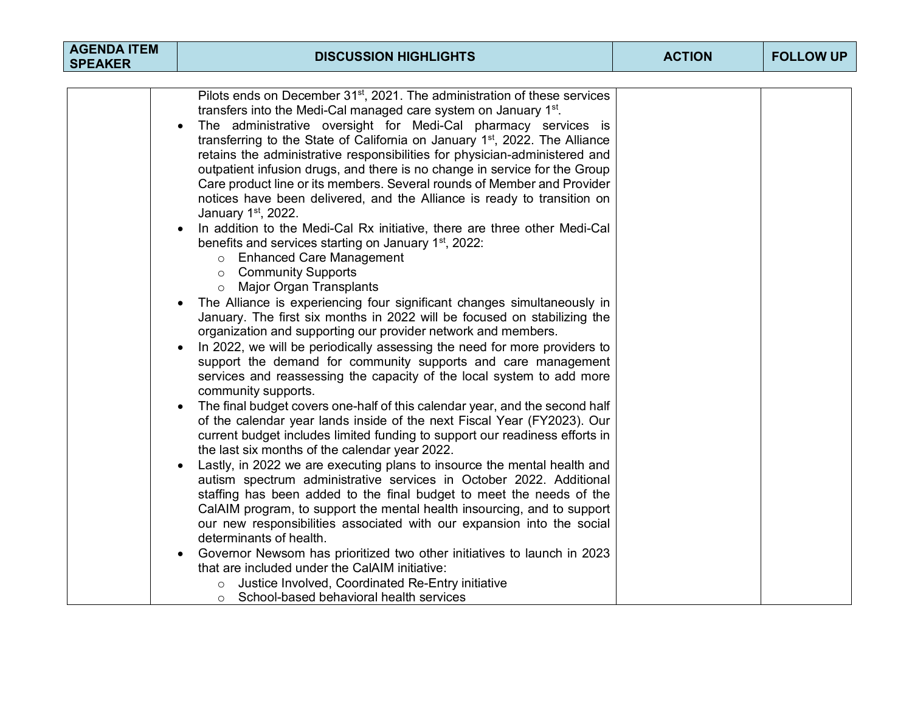| <b>AGENDA ITEM</b><br><b>DISCUSSION HIGHLIGHTS</b><br><b>SPEAKER</b>                                                                                                                                                                                                                                                                                                                                                                                                                                                                                                                                                                                                                                                                                                                                                                                                                                                                                                                                                                                                                                                                                                                                                                                                                                                                                                                                                                                                                                                                                                                                                                                                                                                                                                                                                                                                                                                                                                                                                                                                                                                                                                                                                                                                                                                                                 | <b>ACTION</b> | <b>FOLLOW UP</b> |
|------------------------------------------------------------------------------------------------------------------------------------------------------------------------------------------------------------------------------------------------------------------------------------------------------------------------------------------------------------------------------------------------------------------------------------------------------------------------------------------------------------------------------------------------------------------------------------------------------------------------------------------------------------------------------------------------------------------------------------------------------------------------------------------------------------------------------------------------------------------------------------------------------------------------------------------------------------------------------------------------------------------------------------------------------------------------------------------------------------------------------------------------------------------------------------------------------------------------------------------------------------------------------------------------------------------------------------------------------------------------------------------------------------------------------------------------------------------------------------------------------------------------------------------------------------------------------------------------------------------------------------------------------------------------------------------------------------------------------------------------------------------------------------------------------------------------------------------------------------------------------------------------------------------------------------------------------------------------------------------------------------------------------------------------------------------------------------------------------------------------------------------------------------------------------------------------------------------------------------------------------------------------------------------------------------------------------------------------------|---------------|------------------|
| Pilots ends on December 31 <sup>st</sup> , 2021. The administration of these services<br>transfers into the Medi-Cal managed care system on January 1 <sup>st</sup> .<br>The administrative oversight for Medi-Cal pharmacy services is<br>transferring to the State of California on January 1 <sup>st</sup> , 2022. The Alliance<br>retains the administrative responsibilities for physician-administered and<br>outpatient infusion drugs, and there is no change in service for the Group<br>Care product line or its members. Several rounds of Member and Provider<br>notices have been delivered, and the Alliance is ready to transition on<br>January 1st, 2022.<br>In addition to the Medi-Cal Rx initiative, there are three other Medi-Cal<br>benefits and services starting on January 1 <sup>st</sup> , 2022:<br>o Enhanced Care Management<br><b>Community Supports</b><br>$\circ$<br><b>Major Organ Transplants</b><br>$\circ$<br>The Alliance is experiencing four significant changes simultaneously in<br>$\bullet$<br>January. The first six months in 2022 will be focused on stabilizing the<br>organization and supporting our provider network and members.<br>In 2022, we will be periodically assessing the need for more providers to<br>$\bullet$<br>support the demand for community supports and care management<br>services and reassessing the capacity of the local system to add more<br>community supports.<br>The final budget covers one-half of this calendar year, and the second half<br>of the calendar year lands inside of the next Fiscal Year (FY2023). Our<br>current budget includes limited funding to support our readiness efforts in<br>the last six months of the calendar year 2022.<br>Lastly, in 2022 we are executing plans to insource the mental health and<br>autism spectrum administrative services in October 2022. Additional<br>staffing has been added to the final budget to meet the needs of the<br>CalAIM program, to support the mental health insourcing, and to support<br>our new responsibilities associated with our expansion into the social<br>determinants of health.<br>Governor Newsom has prioritized two other initiatives to launch in 2023<br>$\bullet$<br>that are included under the CalAIM initiative:<br>Justice Involved, Coordinated Re-Entry initiative |               |                  |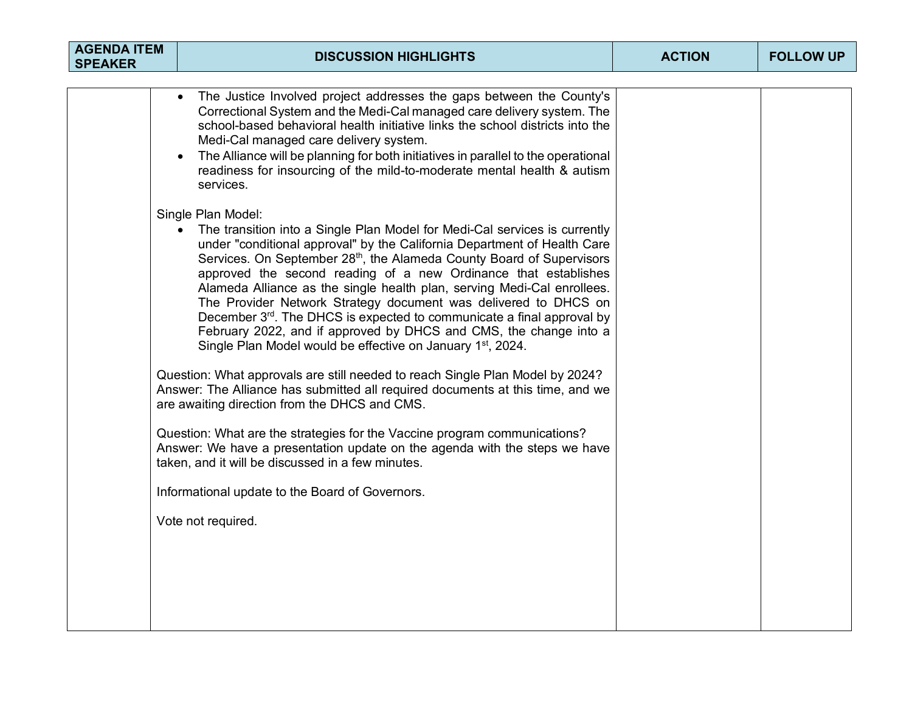| <b>AGENDA ITEM</b><br><b>SPEAKER</b> | <b>DISCUSSION HIGHLIGHTS</b>                                                                                                                                                                                                                                                                                                                                                                                                                                                                                                                                                                                                                                                                                | <b>ACTION</b> | <b>FOLLOW UP</b> |
|--------------------------------------|-------------------------------------------------------------------------------------------------------------------------------------------------------------------------------------------------------------------------------------------------------------------------------------------------------------------------------------------------------------------------------------------------------------------------------------------------------------------------------------------------------------------------------------------------------------------------------------------------------------------------------------------------------------------------------------------------------------|---------------|------------------|
|                                      |                                                                                                                                                                                                                                                                                                                                                                                                                                                                                                                                                                                                                                                                                                             |               |                  |
|                                      | The Justice Involved project addresses the gaps between the County's<br>Correctional System and the Medi-Cal managed care delivery system. The<br>school-based behavioral health initiative links the school districts into the<br>Medi-Cal managed care delivery system.<br>The Alliance will be planning for both initiatives in parallel to the operational<br>readiness for insourcing of the mild-to-moderate mental health & autism<br>services.                                                                                                                                                                                                                                                      |               |                  |
|                                      | Single Plan Model:<br>The transition into a Single Plan Model for Medi-Cal services is currently<br>under "conditional approval" by the California Department of Health Care<br>Services. On September 28 <sup>th</sup> , the Alameda County Board of Supervisors<br>approved the second reading of a new Ordinance that establishes<br>Alameda Alliance as the single health plan, serving Medi-Cal enrollees.<br>The Provider Network Strategy document was delivered to DHCS on<br>December 3rd. The DHCS is expected to communicate a final approval by<br>February 2022, and if approved by DHCS and CMS, the change into a<br>Single Plan Model would be effective on January 1 <sup>st</sup> , 2024. |               |                  |
|                                      | Question: What approvals are still needed to reach Single Plan Model by 2024?<br>Answer: The Alliance has submitted all required documents at this time, and we<br>are awaiting direction from the DHCS and CMS.                                                                                                                                                                                                                                                                                                                                                                                                                                                                                            |               |                  |
|                                      | Question: What are the strategies for the Vaccine program communications?<br>Answer: We have a presentation update on the agenda with the steps we have<br>taken, and it will be discussed in a few minutes.                                                                                                                                                                                                                                                                                                                                                                                                                                                                                                |               |                  |
|                                      | Informational update to the Board of Governors.                                                                                                                                                                                                                                                                                                                                                                                                                                                                                                                                                                                                                                                             |               |                  |
|                                      | Vote not required.                                                                                                                                                                                                                                                                                                                                                                                                                                                                                                                                                                                                                                                                                          |               |                  |
|                                      |                                                                                                                                                                                                                                                                                                                                                                                                                                                                                                                                                                                                                                                                                                             |               |                  |
|                                      |                                                                                                                                                                                                                                                                                                                                                                                                                                                                                                                                                                                                                                                                                                             |               |                  |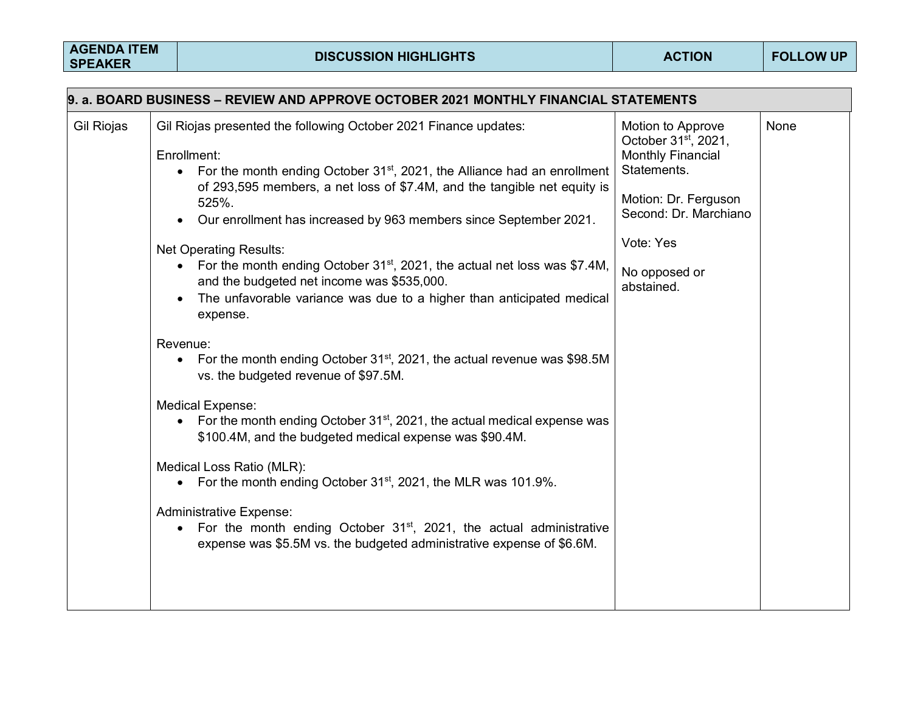| 9. a. BOARD BUSINESS – REVIEW AND APPROVE OCTOBER 2021 MONTHLY FINANCIAL STATEMENTS |                                                                                                                                                                                                                                                                                                                                                                                                                                                                                                                                                                                                                                                                                                                                                                                                                                                                                                                                                                                                                                                                                                                                                                                                                                                              |                                                                                                                                                                                               |             |  |  |  |
|-------------------------------------------------------------------------------------|--------------------------------------------------------------------------------------------------------------------------------------------------------------------------------------------------------------------------------------------------------------------------------------------------------------------------------------------------------------------------------------------------------------------------------------------------------------------------------------------------------------------------------------------------------------------------------------------------------------------------------------------------------------------------------------------------------------------------------------------------------------------------------------------------------------------------------------------------------------------------------------------------------------------------------------------------------------------------------------------------------------------------------------------------------------------------------------------------------------------------------------------------------------------------------------------------------------------------------------------------------------|-----------------------------------------------------------------------------------------------------------------------------------------------------------------------------------------------|-------------|--|--|--|
| Gil Riojas                                                                          | Gil Riojas presented the following October 2021 Finance updates:<br>Enrollment:<br>• For the month ending October $31st$ , 2021, the Alliance had an enrollment<br>of 293,595 members, a net loss of \$7.4M, and the tangible net equity is<br>525%.<br>Our enrollment has increased by 963 members since September 2021.<br><b>Net Operating Results:</b><br>For the month ending October 31 <sup>st</sup> , 2021, the actual net loss was \$7.4M,<br>$\bullet$<br>and the budgeted net income was \$535,000.<br>The unfavorable variance was due to a higher than anticipated medical<br>expense.<br>Revenue:<br>• For the month ending October 31 <sup>st</sup> , 2021, the actual revenue was \$98.5M<br>vs. the budgeted revenue of \$97.5M.<br><b>Medical Expense:</b><br>For the month ending October 31 <sup>st</sup> , 2021, the actual medical expense was<br>$\bullet$<br>\$100.4M, and the budgeted medical expense was \$90.4M.<br>Medical Loss Ratio (MLR):<br>For the month ending October 31 <sup>st</sup> , 2021, the MLR was 101.9%.<br>$\bullet$<br><b>Administrative Expense:</b><br>• For the month ending October $31^{st}$ , 2021, the actual administrative<br>expense was \$5.5M vs. the budgeted administrative expense of \$6.6M. | Motion to Approve<br>October 31 <sup>st</sup> , 2021,<br><b>Monthly Financial</b><br>Statements.<br>Motion: Dr. Ferguson<br>Second: Dr. Marchiano<br>Vote: Yes<br>No opposed or<br>abstained. | <b>None</b> |  |  |  |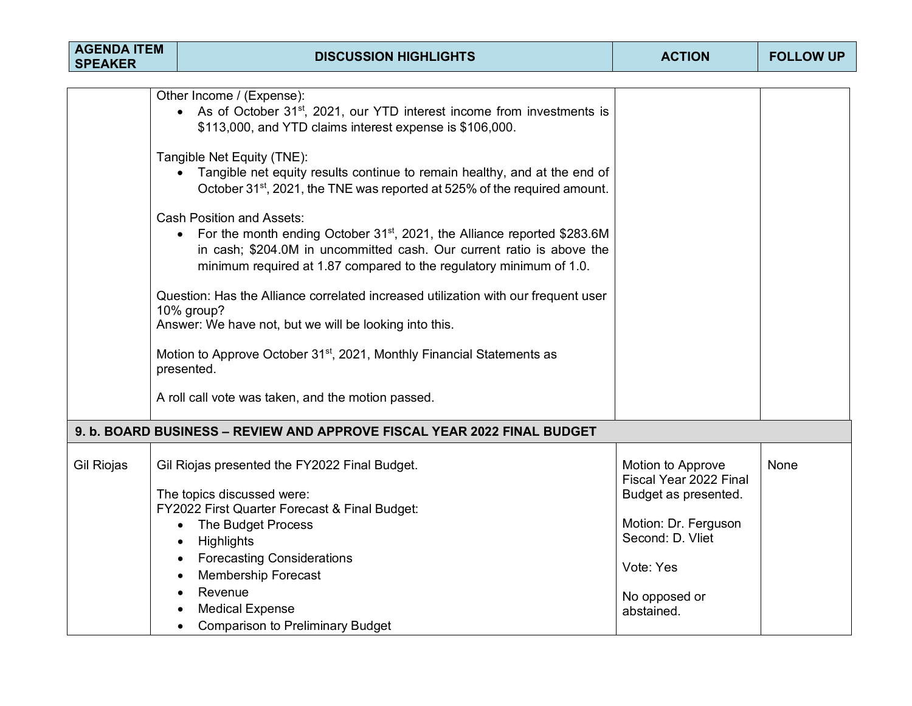| <b>AGENDA ITEM</b><br><b>SPEAKER</b> | <b>DISCUSSION HIGHLIGHTS</b>                                                                                                                                                                                                                                                          | <b>ACTION</b>                                                       | <b>FOLLOW UP</b> |  |  |  |
|--------------------------------------|---------------------------------------------------------------------------------------------------------------------------------------------------------------------------------------------------------------------------------------------------------------------------------------|---------------------------------------------------------------------|------------------|--|--|--|
|                                      |                                                                                                                                                                                                                                                                                       |                                                                     |                  |  |  |  |
|                                      | Other Income / (Expense):<br>• As of October 31 <sup>st</sup> , 2021, our YTD interest income from investments is<br>\$113,000, and YTD claims interest expense is \$106,000.                                                                                                         |                                                                     |                  |  |  |  |
|                                      | Tangible Net Equity (TNE):<br>Tangible net equity results continue to remain healthy, and at the end of<br>$\bullet$<br>October 31 <sup>st</sup> , 2021, the TNE was reported at 525% of the required amount.                                                                         |                                                                     |                  |  |  |  |
|                                      | <b>Cash Position and Assets:</b><br>For the month ending October 31 <sup>st</sup> , 2021, the Alliance reported \$283.6M<br>$\bullet$<br>in cash; \$204.0M in uncommitted cash. Our current ratio is above the<br>minimum required at 1.87 compared to the regulatory minimum of 1.0. |                                                                     |                  |  |  |  |
|                                      | Question: Has the Alliance correlated increased utilization with our frequent user<br>10% group?<br>Answer: We have not, but we will be looking into this.                                                                                                                            |                                                                     |                  |  |  |  |
|                                      | Motion to Approve October 31 <sup>st</sup> , 2021, Monthly Financial Statements as<br>presented.                                                                                                                                                                                      |                                                                     |                  |  |  |  |
|                                      | A roll call vote was taken, and the motion passed.                                                                                                                                                                                                                                    |                                                                     |                  |  |  |  |
|                                      | 9. b. BOARD BUSINESS - REVIEW AND APPROVE FISCAL YEAR 2022 FINAL BUDGET                                                                                                                                                                                                               |                                                                     |                  |  |  |  |
| <b>Gil Riojas</b>                    | Gil Riojas presented the FY2022 Final Budget.<br>The topics discussed were:                                                                                                                                                                                                           | Motion to Approve<br>Fiscal Year 2022 Final<br>Budget as presented. | None             |  |  |  |
|                                      | FY2022 First Quarter Forecast & Final Budget:                                                                                                                                                                                                                                         |                                                                     |                  |  |  |  |
|                                      | The Budget Process<br>$\bullet$                                                                                                                                                                                                                                                       | Motion: Dr. Ferguson<br>Second: D. Vliet                            |                  |  |  |  |
|                                      | Highlights<br>$\bullet$                                                                                                                                                                                                                                                               |                                                                     |                  |  |  |  |
|                                      | <b>Forecasting Considerations</b><br><b>Membership Forecast</b><br>$\bullet$                                                                                                                                                                                                          | Vote: Yes                                                           |                  |  |  |  |
|                                      | Revenue                                                                                                                                                                                                                                                                               |                                                                     |                  |  |  |  |
|                                      | <b>Medical Expense</b>                                                                                                                                                                                                                                                                | No opposed or<br>abstained.                                         |                  |  |  |  |
|                                      | <b>Comparison to Preliminary Budget</b>                                                                                                                                                                                                                                               |                                                                     |                  |  |  |  |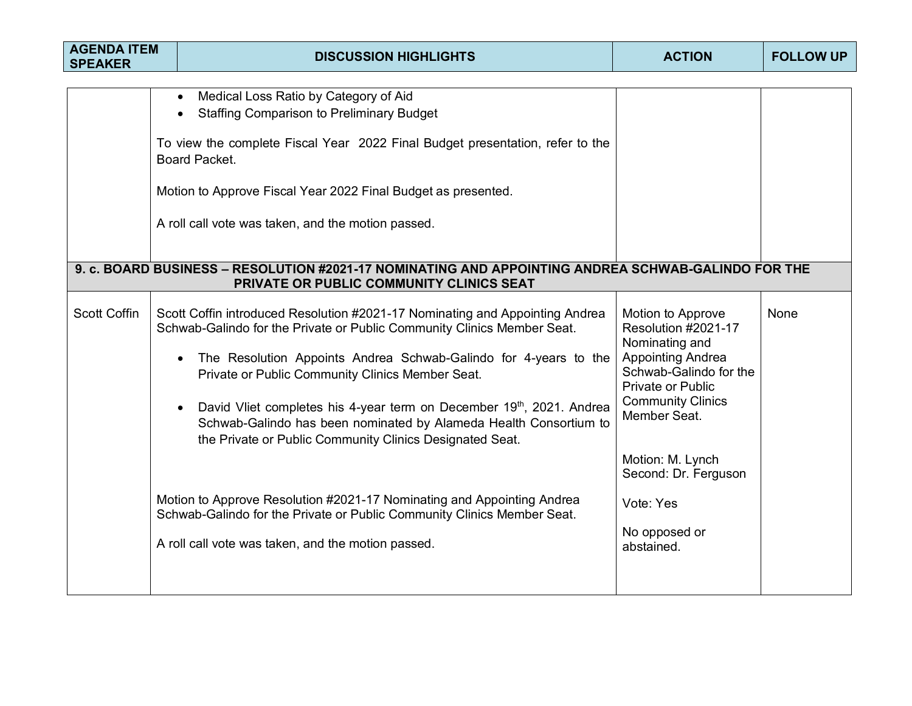| <b>AGENDA ITEM</b><br><b>SPEAKER</b> |  | <b>DISCUSSION HIGHLIGHTS</b>                                                                                                                                                                                                                                                                                                                                                                                                                                                                                                                                                                                                                                                                                     | <b>ACTION</b>                                                                                                                                                                                                                                                             | <b>FOLLOW UP</b> |
|--------------------------------------|--|------------------------------------------------------------------------------------------------------------------------------------------------------------------------------------------------------------------------------------------------------------------------------------------------------------------------------------------------------------------------------------------------------------------------------------------------------------------------------------------------------------------------------------------------------------------------------------------------------------------------------------------------------------------------------------------------------------------|---------------------------------------------------------------------------------------------------------------------------------------------------------------------------------------------------------------------------------------------------------------------------|------------------|
|                                      |  | Medical Loss Ratio by Category of Aid<br>$\bullet$<br><b>Staffing Comparison to Preliminary Budget</b><br>$\bullet$<br>To view the complete Fiscal Year 2022 Final Budget presentation, refer to the<br>Board Packet.<br>Motion to Approve Fiscal Year 2022 Final Budget as presented.<br>A roll call vote was taken, and the motion passed.<br>9. c. BOARD BUSINESS - RESOLUTION #2021-17 NOMINATING AND APPOINTING ANDREA SCHWAB-GALINDO FOR THE<br>PRIVATE OR PUBLIC COMMUNITY CLINICS SEAT                                                                                                                                                                                                                   |                                                                                                                                                                                                                                                                           |                  |
| <b>Scott Coffin</b>                  |  | Scott Coffin introduced Resolution #2021-17 Nominating and Appointing Andrea<br>Schwab-Galindo for the Private or Public Community Clinics Member Seat.<br>The Resolution Appoints Andrea Schwab-Galindo for 4-years to the<br>$\bullet$<br>Private or Public Community Clinics Member Seat.<br>David Vliet completes his 4-year term on December 19th, 2021. Andrea<br>Schwab-Galindo has been nominated by Alameda Health Consortium to<br>the Private or Public Community Clinics Designated Seat.<br>Motion to Approve Resolution #2021-17 Nominating and Appointing Andrea<br>Schwab-Galindo for the Private or Public Community Clinics Member Seat.<br>A roll call vote was taken, and the motion passed. | Motion to Approve<br>Resolution #2021-17<br>Nominating and<br><b>Appointing Andrea</b><br>Schwab-Galindo for the<br>Private or Public<br><b>Community Clinics</b><br>Member Seat.<br>Motion: M. Lynch<br>Second: Dr. Ferguson<br>Vote: Yes<br>No opposed or<br>abstained. | None             |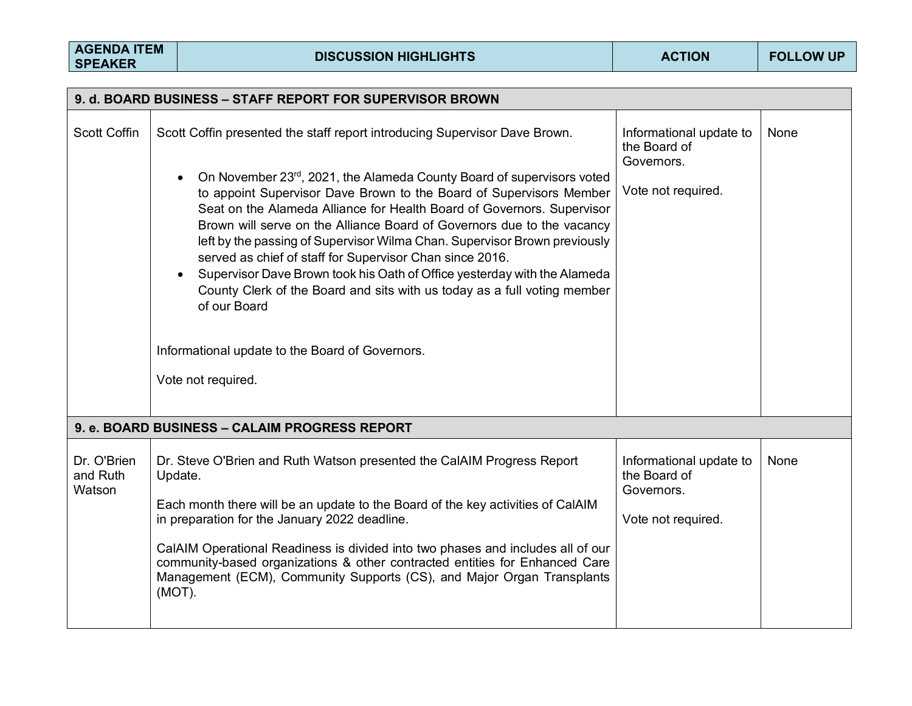| 9. d. BOARD BUSINESS - STAFF REPORT FOR SUPERVISOR BROWN |                                                                                                                                                                                                                                                                                                                                                                                                                                                                                                                                                                                                                                                                                            |                                                                             |      |  |  |
|----------------------------------------------------------|--------------------------------------------------------------------------------------------------------------------------------------------------------------------------------------------------------------------------------------------------------------------------------------------------------------------------------------------------------------------------------------------------------------------------------------------------------------------------------------------------------------------------------------------------------------------------------------------------------------------------------------------------------------------------------------------|-----------------------------------------------------------------------------|------|--|--|
| <b>Scott Coffin</b>                                      | Scott Coffin presented the staff report introducing Supervisor Dave Brown.                                                                                                                                                                                                                                                                                                                                                                                                                                                                                                                                                                                                                 | Informational update to<br>the Board of<br>Governors.                       | None |  |  |
|                                                          | On November 23rd, 2021, the Alameda County Board of supervisors voted<br>to appoint Supervisor Dave Brown to the Board of Supervisors Member<br>Seat on the Alameda Alliance for Health Board of Governors. Supervisor<br>Brown will serve on the Alliance Board of Governors due to the vacancy<br>left by the passing of Supervisor Wilma Chan. Supervisor Brown previously<br>served as chief of staff for Supervisor Chan since 2016.<br>Supervisor Dave Brown took his Oath of Office yesterday with the Alameda<br>County Clerk of the Board and sits with us today as a full voting member<br>of our Board<br>Informational update to the Board of Governors.<br>Vote not required. | Vote not required.                                                          |      |  |  |
|                                                          | 9. e. BOARD BUSINESS - CALAIM PROGRESS REPORT                                                                                                                                                                                                                                                                                                                                                                                                                                                                                                                                                                                                                                              |                                                                             |      |  |  |
| Dr. O'Brien<br>and Ruth<br>Watson                        | Dr. Steve O'Brien and Ruth Watson presented the CalAIM Progress Report<br>Update.<br>Each month there will be an update to the Board of the key activities of CalAIM<br>in preparation for the January 2022 deadline.<br>CalAIM Operational Readiness is divided into two phases and includes all of our<br>community-based organizations & other contracted entities for Enhanced Care<br>Management (ECM), Community Supports (CS), and Major Organ Transplants<br>(MOT).                                                                                                                                                                                                                | Informational update to<br>the Board of<br>Governors.<br>Vote not required. | None |  |  |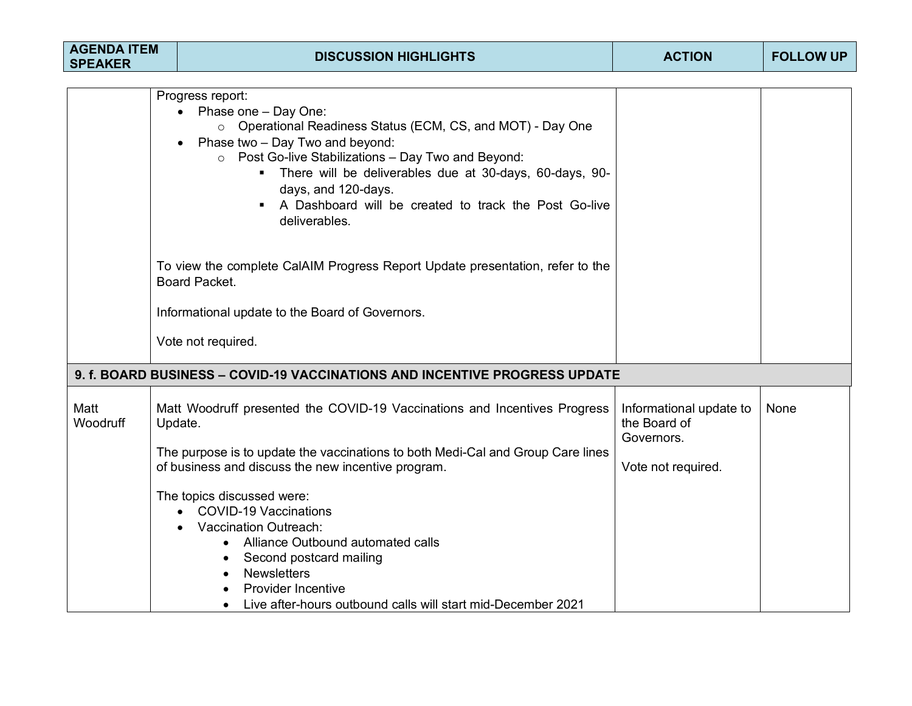| <b>AGENDA ITEM</b><br><b>SPEAKER</b> | <b>DISCUSSION HIGHLIGHTS</b>                                                                                                                                                                                                                                                                                                                                               | <b>ACTION</b>                                                               | <b>FOLLOW UP</b> |
|--------------------------------------|----------------------------------------------------------------------------------------------------------------------------------------------------------------------------------------------------------------------------------------------------------------------------------------------------------------------------------------------------------------------------|-----------------------------------------------------------------------------|------------------|
|                                      | Progress report:<br>• Phase one $-$ Day One:<br>○ Operational Readiness Status (ECM, CS, and MOT) - Day One<br>Phase two - Day Two and beyond:<br>Post Go-live Stabilizations - Day Two and Beyond:<br>$\circ$<br>There will be deliverables due at 30-days, 60-days, 90-<br>days, and 120-days.<br>A Dashboard will be created to track the Post Go-live<br>deliverables. |                                                                             |                  |
|                                      | To view the complete CalAIM Progress Report Update presentation, refer to the<br>Board Packet.<br>Informational update to the Board of Governors.<br>Vote not required.                                                                                                                                                                                                    |                                                                             |                  |
|                                      | 9. f. BOARD BUSINESS - COVID-19 VACCINATIONS AND INCENTIVE PROGRESS UPDATE                                                                                                                                                                                                                                                                                                 |                                                                             |                  |
| Matt<br>Woodruff                     | Matt Woodruff presented the COVID-19 Vaccinations and Incentives Progress<br>Update.<br>The purpose is to update the vaccinations to both Medi-Cal and Group Care lines<br>of business and discuss the new incentive program.                                                                                                                                              | Informational update to<br>the Board of<br>Governors.<br>Vote not required. | None             |
|                                      | The topics discussed were:<br>• COVID-19 Vaccinations<br><b>Vaccination Outreach:</b><br>Alliance Outbound automated calls<br>$\bullet$<br>Second postcard mailing<br>$\bullet$<br><b>Newsletters</b><br>$\bullet$<br><b>Provider Incentive</b><br>Live after-hours outbound calls will start mid-December 2021<br>$\bullet$                                               |                                                                             |                  |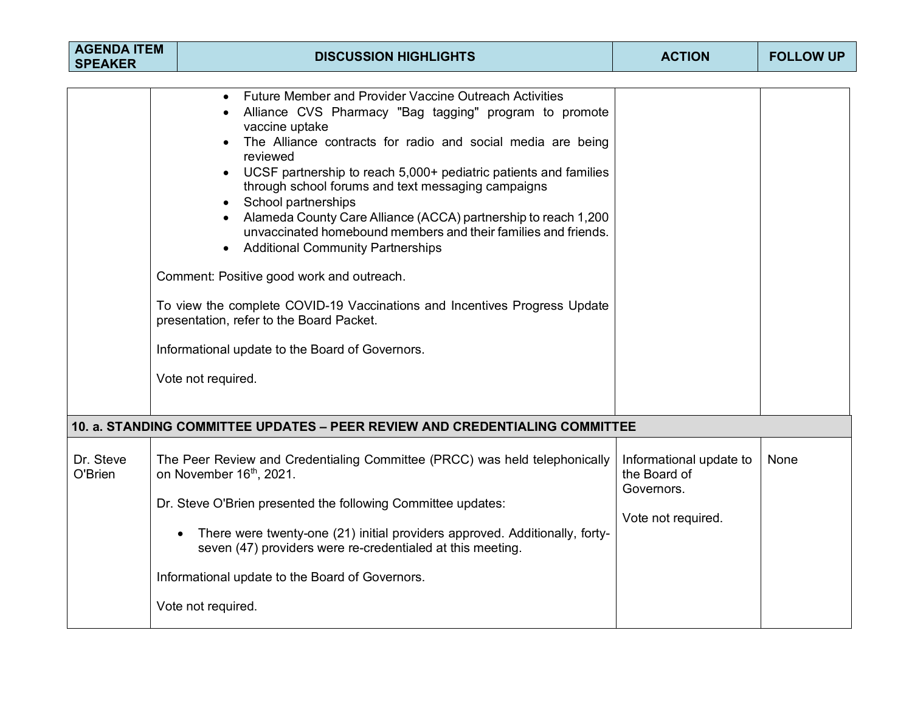| <b>AGENDA ITEM</b><br><b>SPEAKER</b> |  | <b>DISCUSSION HIGHLIGHTS</b>                                                                                                                                                                                                                                                                                                                                                                                                                                                                                                                                                                                                                                                                                                                                                                                                   | <b>ACTION</b>                                                               | <b>FOLLOW UP</b> |
|--------------------------------------|--|--------------------------------------------------------------------------------------------------------------------------------------------------------------------------------------------------------------------------------------------------------------------------------------------------------------------------------------------------------------------------------------------------------------------------------------------------------------------------------------------------------------------------------------------------------------------------------------------------------------------------------------------------------------------------------------------------------------------------------------------------------------------------------------------------------------------------------|-----------------------------------------------------------------------------|------------------|
|                                      |  | <b>Future Member and Provider Vaccine Outreach Activities</b><br>$\bullet$<br>Alliance CVS Pharmacy "Bag tagging" program to promote<br>vaccine uptake<br>The Alliance contracts for radio and social media are being<br>reviewed<br>UCSF partnership to reach 5,000+ pediatric patients and families<br>through school forums and text messaging campaigns<br>School partnerships<br>Alameda County Care Alliance (ACCA) partnership to reach 1,200<br>unvaccinated homebound members and their families and friends.<br><b>Additional Community Partnerships</b><br>$\bullet$<br>Comment: Positive good work and outreach.<br>To view the complete COVID-19 Vaccinations and Incentives Progress Update<br>presentation, refer to the Board Packet.<br>Informational update to the Board of Governors.<br>Vote not required. |                                                                             |                  |
| Dr. Steve<br>O'Brien                 |  | 10. a. STANDING COMMITTEE UPDATES – PEER REVIEW AND CREDENTIALING COMMITTEE<br>The Peer Review and Credentialing Committee (PRCC) was held telephonically<br>on November 16th, 2021.<br>Dr. Steve O'Brien presented the following Committee updates:<br>There were twenty-one (21) initial providers approved. Additionally, forty-<br>seven (47) providers were re-credentialed at this meeting.<br>Informational update to the Board of Governors.<br>Vote not required.                                                                                                                                                                                                                                                                                                                                                     | Informational update to<br>the Board of<br>Governors.<br>Vote not required. | None             |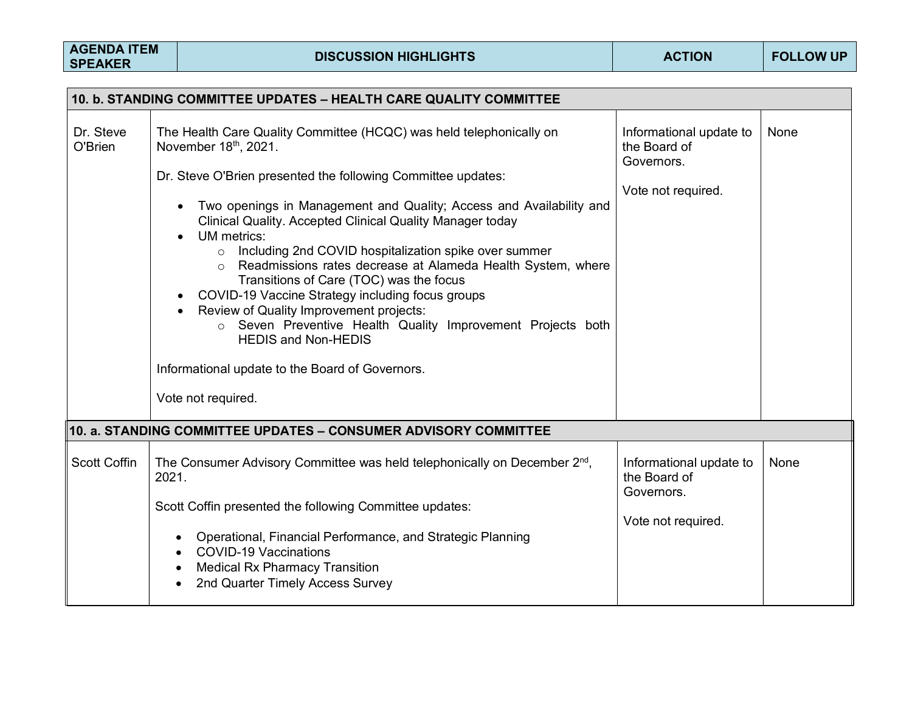| 10. b. STANDING COMMITTEE UPDATES - HEALTH CARE QUALITY COMMITTEE |                                                                                                                                                                                                                                                                                                                                                                                                                                                                                                                                                    |                                                                             |      |  |  |
|-------------------------------------------------------------------|----------------------------------------------------------------------------------------------------------------------------------------------------------------------------------------------------------------------------------------------------------------------------------------------------------------------------------------------------------------------------------------------------------------------------------------------------------------------------------------------------------------------------------------------------|-----------------------------------------------------------------------------|------|--|--|
| Dr. Steve<br>O'Brien                                              | The Health Care Quality Committee (HCQC) was held telephonically on<br>November 18th, 2021.<br>Dr. Steve O'Brien presented the following Committee updates:<br>Two openings in Management and Quality; Access and Availability and<br>Clinical Quality. Accepted Clinical Quality Manager today<br>UM metrics:<br>o Including 2nd COVID hospitalization spike over summer<br>Readmissions rates decrease at Alameda Health System, where<br>$\circ$<br>Transitions of Care (TOC) was the focus<br>COVID-19 Vaccine Strategy including focus groups | Informational update to<br>the Board of<br>Governors.<br>Vote not required. | None |  |  |
|                                                                   | Review of Quality Improvement projects:<br>o Seven Preventive Health Quality Improvement Projects both<br><b>HEDIS and Non-HEDIS</b><br>Informational update to the Board of Governors.<br>Vote not required.                                                                                                                                                                                                                                                                                                                                      |                                                                             |      |  |  |
|                                                                   | 10. a. STANDING COMMITTEE UPDATES - CONSUMER ADVISORY COMMITTEE                                                                                                                                                                                                                                                                                                                                                                                                                                                                                    |                                                                             |      |  |  |
| <b>Scott Coffin</b>                                               | The Consumer Advisory Committee was held telephonically on December 2 <sup>nd</sup> ,<br>2021.                                                                                                                                                                                                                                                                                                                                                                                                                                                     | Informational update to<br>the Board of<br>Governors.                       | None |  |  |
|                                                                   | Scott Coffin presented the following Committee updates:                                                                                                                                                                                                                                                                                                                                                                                                                                                                                            |                                                                             |      |  |  |
|                                                                   | Operational, Financial Performance, and Strategic Planning<br><b>COVID-19 Vaccinations</b><br><b>Medical Rx Pharmacy Transition</b><br>$\bullet$<br>2nd Quarter Timely Access Survey                                                                                                                                                                                                                                                                                                                                                               | Vote not required.                                                          |      |  |  |